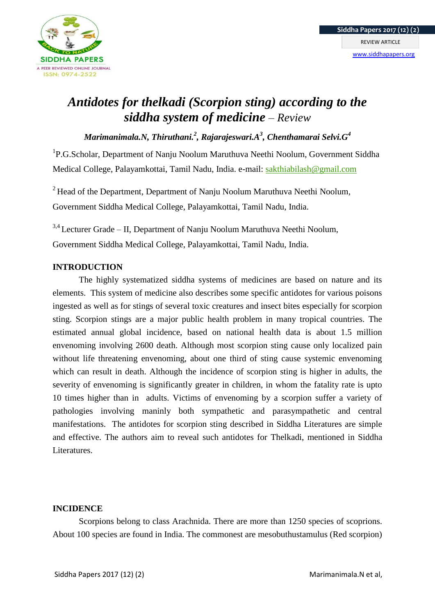

# *Antidotes for thelkadi (Scorpion sting) according to the siddha system of medicine – Review*

*Marimanimala.N, Thiruthani.<sup>2</sup> , Rajarajeswari.A<sup>3</sup> , Chenthamarai Selvi.G<sup>4</sup>*

<sup>1</sup>P.G.Scholar, Department of Nanju Noolum Maruthuva Neethi Noolum, Government Siddha Medical College, Palayamkottai, Tamil Nadu, India. e-mail: [sakthiabilash@gmail.com](mailto:sakthiabilash@gmail.com)

 $2$  Head of the Department, Department of Nanju Noolum Maruthuva Neethi Noolum, Government Siddha Medical College, Palayamkottai, Tamil Nadu, India.

 $3,4$  Lecturer Grade – II, Department of Nanju Noolum Maruthuva Neethi Noolum, Government Siddha Medical College, Palayamkottai, Tamil Nadu, India.

## **INTRODUCTION**

The highly systematized siddha systems of medicines are based on nature and its elements. This system of medicine also describes some specific antidotes for various poisons ingested as well as for stings of several toxic creatures and insect bites especially for scorpion sting. Scorpion stings are a major public health problem in many tropical countries. The estimated annual global incidence, based on national health data is about 1.5 million envenoming involving 2600 death. Although most scorpion sting cause only localized pain without life threatening envenoming, about one third of sting cause systemic envenoming which can result in death. Although the incidence of scorpion sting is higher in adults, the severity of envenoming is significantly greater in children, in whom the fatality rate is upto 10 times higher than in adults. Victims of envenoming by a scorpion suffer a variety of pathologies involving maninly both sympathetic and parasympathetic and central manifestations. The antidotes for scorpion sting described in Siddha Literatures are simple and effective. The authors aim to reveal such antidotes for Thelkadi, mentioned in Siddha Literatures.

## **INCIDENCE**

Scorpions belong to class Arachnida. There are more than 1250 species of scoprions. About 100 species are found in India. The commonest are mesobuthustamulus (Red scorpion)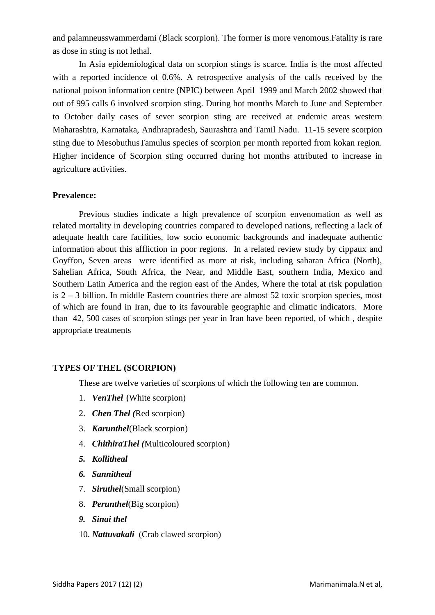and palamneusswammerdami (Black scorpion). The former is more venomous.Fatality is rare as dose in sting is not lethal.

In Asia epidemiological data on scorpion stings is scarce. India is the most affected with a reported incidence of 0.6%. A retrospective analysis of the calls received by the national poison information centre (NPIC) between April 1999 and March 2002 showed that out of 995 calls 6 involved scorpion sting. During hot months March to June and September to October daily cases of sever scorpion sting are received at endemic areas western Maharashtra, Karnataka, Andhrapradesh, Saurashtra and Tamil Nadu. 11-15 severe scorpion sting due to MesobuthusTamulus species of scorpion per month reported from kokan region. Higher incidence of Scorpion sting occurred during hot months attributed to increase in agriculture activities.

#### **Prevalence:**

Previous studies indicate a high prevalence of scorpion envenomation as well as related mortality in developing countries compared to developed nations, reflecting a lack of adequate health care facilities, low socio economic backgrounds and inadequate authentic information about this affliction in poor regions. In a related review study by cippaux and Goyffon, Seven areas were identified as more at risk, including saharan Africa (North), Sahelian Africa, South Africa, the Near, and Middle East, southern India, Mexico and Southern Latin America and the region east of the Andes, Where the total at risk population is 2 – 3 billion. In middle Eastern countries there are almost 52 toxic scorpion species, most of which are found in Iran, due to its favourable geographic and climatic indicators. More than 42, 500 cases of scorpion stings per year in Iran have been reported, of which , despite appropriate treatments

## **TYPES OF THEL (SCORPION)**

These are twelve varieties of scorpions of which the following ten are common.

- 1. *VenThel* (White scorpion)
- 2. *Chen Thel (*Red scorpion)
- 3. *Karunthel*(Black scorpion)
- 4. *ChithiraThel (*Multicoloured scorpion)
- *5. Kollitheal*
- *6. Sannitheal*
- 7. *Siruthel*(Small scorpion)
- 8. *Perunthel*(Big scorpion)
- *9. Sinai thel*
- 10. *Nattuvakali* (Crab clawed scorpion)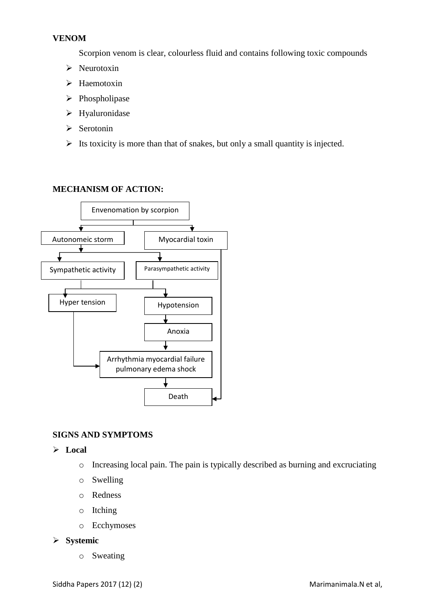#### **VENOM**

Scorpion venom is clear, colourless fluid and contains following toxic compounds

- $\triangleright$  Neurotoxin
- $\triangleright$  Haemotoxin
- $\triangleright$  Phospholipase
- > Hyaluronidase
- $\triangleright$  Serotonin
- $\triangleright$  Its toxicity is more than that of snakes, but only a small quantity is injected.

## **MECHANISM OF ACTION:**



## **SIGNS AND SYMPTOMS**

- **Local**
	- o Increasing local pain. The pain is typically described as burning and excruciating
	- o Swelling
	- o Redness
	- o Itching
	- o Ecchymoses

## **Systemic**

o Sweating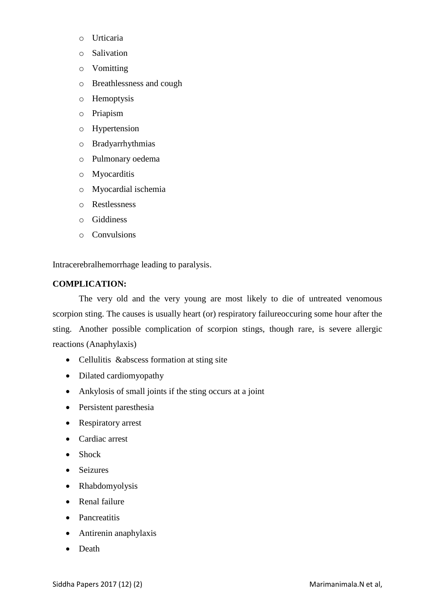- o Urticaria
- o Salivation
- o Vomitting
- o Breathlessness and cough
- o Hemoptysis
- o Priapism
- o Hypertension
- o Bradyarrhythmias
- o Pulmonary oedema
- o Myocarditis
- o Myocardial ischemia
- o Restlessness
- o Giddiness
- o Convulsions

Intracerebralhemorrhage leading to paralysis.

#### **COMPLICATION:**

The very old and the very young are most likely to die of untreated venomous scorpion sting. The causes is usually heart (or) respiratory failureoccuring some hour after the sting. Another possible complication of scorpion stings, though rare, is severe allergic reactions (Anaphylaxis)

- Cellulitis &abscess formation at sting site
- Dilated cardiomyopathy
- Ankylosis of small joints if the sting occurs at a joint
- Persistent paresthesia
- Respiratory arrest
- Cardiac arrest
- Shock
- Seizures
- Rhabdomyolysis
- Renal failure
- Pancreatitis
- Antirenin anaphylaxis
- Death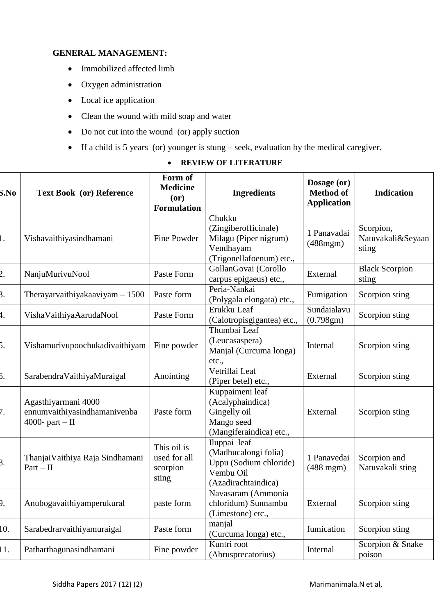## **GENERAL MANAGEMENT:**

- Immobilized affected limb
- Oxygen administration
- Local ice application
- Clean the wound with mild soap and water
- Do not cut into the wound (or) apply suction
- If a child is 5 years (or) younger is stung seek, evaluation by the medical caregiver.

| S.No | <b>Text Book</b> (or) Reference                                          | Form of<br><b>Medicine</b><br>(or)<br><b>Formulation</b> | <b>Ingredients</b>                                                                                 | Dosage (or)<br><b>Method of</b><br><b>Application</b> | <b>Indication</b>                       |
|------|--------------------------------------------------------------------------|----------------------------------------------------------|----------------------------------------------------------------------------------------------------|-------------------------------------------------------|-----------------------------------------|
| 1.   | Vishavaithiyasindhamani                                                  | Fine Powder                                              | Chukku<br>(Zingiberofficinale)<br>Milagu (Piper nigrum)<br>Vendhayam<br>(Trigonellafoenum) etc.,   | 1 Panavadai<br>$(488$ mgm $)$                         | Scorpion,<br>Natuvakali&Seyaan<br>sting |
| 2.   | NanjuMurivuNool                                                          | Paste Form                                               | GollanGovai (Corollo<br>carpus epigaeus) etc.,                                                     | External                                              | <b>Black Scorpion</b><br>sting          |
| 3.   | Therayarvaithiyakaaviyam $-1500$                                         | Paste form                                               | Peria-Nankai<br>(Polygala elongata) etc.,                                                          | Fumigation                                            | Scorpion sting                          |
| 1.   | VishaVaithiyaAarudaNool                                                  | Paste Form                                               | Erukku Leaf<br>(Calotropisgigantea) etc.,                                                          | Sundaialavu<br>(0.798gm)                              | Scorpion sting                          |
| Б.   | Vishamurivupoochukadivaithiyam                                           | Fine powder                                              | Thumbai Leaf<br>(Leucasaspera)<br>Manjal (Curcuma longa)<br>etc.,                                  | Internal                                              | Scorpion sting                          |
| б.   | SarabendraVaithiyaMuraigal                                               | Anointing                                                | Vetrillai Leaf<br>(Piper betel) etc.,                                                              | External                                              | Scorpion sting                          |
| 7.   | Agasthiyarmani 4000<br>ennumvaithiyasindhamanivenba<br>4000- part $-$ II | Paste form                                               | Kuppaimeni leaf<br>(Acalyphaindica)<br>Gingelly oil<br>Mango seed<br>(Mangiferaindica) etc.,       | External                                              | Scorpion sting                          |
| 3.   | Thanjai Vaithiya Raja Sindhamani<br>$Part - II$                          | This oil is<br>used for all<br>scorpion<br>sting         | Iluppai leaf<br>(Madhucalongi folia)<br>Uppu (Sodium chloride)<br>Vembu Oil<br>(Azadirachtaindica) | 1 Panavedai<br>$(488$ mgm $)$                         | Scorpion and<br>Natuvakali sting        |
| P.   | Anubogavaithiyamperukural                                                | paste form                                               | Navasaram (Ammonia<br>chloridum) Sunnambu<br>(Limestone) etc.,                                     | External                                              | Scorpion sting                          |
| 10.  | Sarabedrarvaithiyamuraigal                                               | Paste form                                               | manjal<br>(Curcuma longa) etc.,                                                                    | fumication                                            | Scorpion sting                          |
| 11.  | Patharthagunasindhamani                                                  | Fine powder                                              | Kuntri root<br>(Abrusprecatorius)                                                                  | Internal                                              | Scorpion & Snake<br>poison              |

## **REVIEW OF LITERATURE**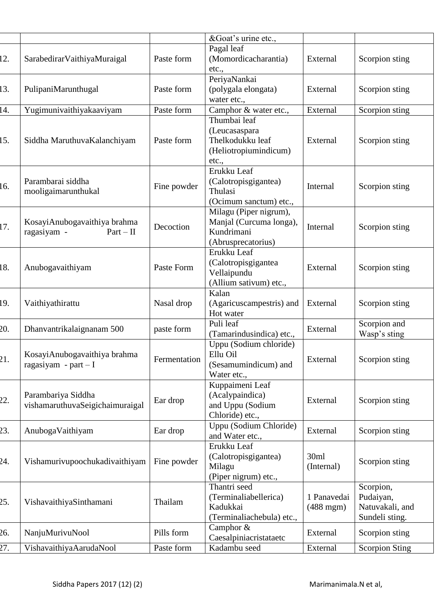|     |                                                            |              | &Goat's urine etc.,                                                                   |                               |                                                             |
|-----|------------------------------------------------------------|--------------|---------------------------------------------------------------------------------------|-------------------------------|-------------------------------------------------------------|
| 12. | SarabedirarVaithiyaMuraigal                                | Paste form   | Pagal leaf<br>(Momordicacharantia)<br>etc.,                                           | External                      | Scorpion sting                                              |
| 13. | PulipaniMarunthugal                                        | Paste form   | PeriyaNankai<br>(polygala elongata)<br>water etc.,                                    | External                      | Scorpion sting                                              |
| 14. | Yugimunivaithiyakaaviyam                                   | Paste form   | Camphor & water etc.,                                                                 | External                      | Scorpion sting                                              |
| 15. | Siddha MaruthuvaKalanchiyam                                | Paste form   | Thumbai leaf<br>(Leucasaspara<br>Thelkodukku leaf<br>(Heliotropiumindicum)<br>etc.,   | External                      | Scorpion sting                                              |
| 16. | Parambarai siddha<br>mooligaimarunthukal                   | Fine powder  | Erukku Leaf<br>(Calotropisgigantea)<br>Thulasi<br>(Ocimum sanctum) etc.,              | Internal                      | Scorpion sting                                              |
| 17. | KosayiAnubogavaithiya brahma<br>ragasiyam -<br>$Part - II$ | Decoction    | Milagu (Piper nigrum),<br>Manjal (Curcuma longa),<br>Kundrimani<br>(Abrusprecatorius) | Internal                      | Scorpion sting                                              |
| 18. | Anubogavaithiyam                                           | Paste Form   | Erukku Leaf<br>(Calotropisgigantea<br>Vellaipundu<br>(Allium sativum) etc.,           | External                      | Scorpion sting                                              |
| 19. | Vaithiyathirattu                                           | Nasal drop   | Kalan<br>(Agaricuscampestris) and<br>Hot water                                        | External                      | Scorpion sting                                              |
| 20. | Dhanvantrikalaignanam 500                                  | paste form   | Puli leaf<br>(Tamarindusindica) etc.,                                                 | External                      | Scorpion and<br>Wasp's sting                                |
| 21. | KosayiAnubogavaithiya brahma<br>ragasiyam - part $-I$      | Fermentation | Uppu (Sodium chloride)<br>Ellu Oil<br>(Sesamumindicum) and<br>Water etc.,             | External                      | Scorpion sting                                              |
| 22. | Parambariya Siddha<br>vishamaruthuvaSeigichaimuraigal      | Ear drop     | Kuppaimeni Leaf<br>(Acalypaindica)<br>and Uppu (Sodium<br>Chloride) etc.,             | External                      | Scorpion sting                                              |
| 23. | AnubogaVaithiyam                                           | Ear drop     | Uppu (Sodium Chloride)<br>and Water etc.,                                             | External                      | Scorpion sting                                              |
| 24. | Vishamurivupoochukadivaithiyam                             | Fine powder  | Erukku Leaf<br>(Calotropisgigantea)<br>Milagu<br>(Piper nigrum) etc.,                 | 30ml<br>(Internal)            | Scorpion sting                                              |
| 25. | VishavaithiyaSinthamani                                    | Thailam      | Thantri seed<br>(Terminaliabellerica)<br>Kadukkai<br>(Terminaliachebula) etc.,        | 1 Panavedai<br>$(488$ mgm $)$ | Scorpion,<br>Pudaiyan,<br>Natuvakali, and<br>Sundeli sting. |
| 26. | NanjuMurivuNool                                            | Pills form   | Camphor &<br>Caesalpiniacristataetc                                                   | External                      | Scorpion sting                                              |
| 27. | VishavaithiyaAarudaNool                                    | Paste form   | Kadambu seed                                                                          | External                      | <b>Scorpion Sting</b>                                       |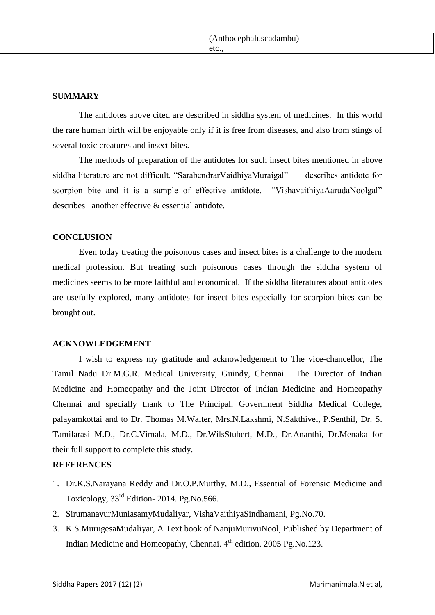#### **SUMMARY**

The antidotes above cited are described in siddha system of medicines. In this world the rare human birth will be enjoyable only if it is free from diseases, and also from stings of several toxic creatures and insect bites.

The methods of preparation of the antidotes for such insect bites mentioned in above siddha literature are not difficult. "SarabendrarVaidhiyaMuraigal" describes antidote for scorpion bite and it is a sample of effective antidote. "VishavaithiyaAarudaNoolgal" describes another effective & essential antidote.

#### **CONCLUSION**

Even today treating the poisonous cases and insect bites is a challenge to the modern medical profession. But treating such poisonous cases through the siddha system of medicines seems to be more faithful and economical. If the siddha literatures about antidotes are usefully explored, many antidotes for insect bites especially for scorpion bites can be brought out.

#### **ACKNOWLEDGEMENT**

I wish to express my gratitude and acknowledgement to The vice-chancellor, The Tamil Nadu Dr.M.G.R. Medical University, Guindy, Chennai. The Director of Indian Medicine and Homeopathy and the Joint Director of Indian Medicine and Homeopathy Chennai and specially thank to The Principal, Government Siddha Medical College, palayamkottai and to Dr. Thomas M.Walter, Mrs.N.Lakshmi, N.Sakthivel, P.Senthil, Dr. S. Tamilarasi M.D., Dr.C.Vimala, M.D., Dr.WilsStubert, M.D., Dr.Ananthi, Dr.Menaka for their full support to complete this study.

#### **REFERENCES**

- 1. Dr.K.S.Narayana Reddy and Dr.O.P.Murthy, M.D., Essential of Forensic Medicine and Toxicology, 33rd Edition- 2014. Pg.No.566.
- 2. SirumanavurMuniasamyMudaliyar, VishaVaithiyaSindhamani, Pg.No.70.
- 3. K.S.MurugesaMudaliyar, A Text book of NanjuMurivuNool, Published by Department of Indian Medicine and Homeopathy, Chennai. 4<sup>th</sup> edition. 2005 Pg.No.123.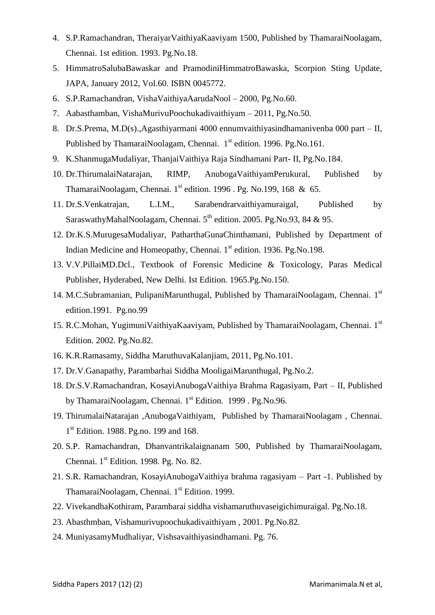- 4. S.P.Ramachandran, TheraiyarVaithiyaKaaviyam 1500, Published by ThamaraiNoolagam, Chennai. 1st edition. 1993. Pg.No.18.
- 5. HimmatroSalubaBawaskar and PramodiniHimmatroBawaska, Scorpion Sting Update, JAPA, January 2012, Vol.60. ISBN 0045772.
- 6. S.P.Ramachandran, VishaVaithiyaAarudaNool 2000, Pg.No.60.
- 7. Aabasthamban, VishaMurivuPoochukadivaithiyam 2011, Pg.No.50.
- 8. Dr.S.Prema, M.D(s).,Agasthiyarmani 4000 ennumvaithiyasindhamanivenba 000 part II, Published by ThamaraiNoolagam, Chennai. 1<sup>st</sup> edition. 1996. Pg.No.161.
- 9. K.ShanmugaMudaliyar, ThanjaiVaithiya Raja Sindhamani Part- II, Pg.No.184.
- 10. Dr.ThirumalaiNatarajan, RIMP, AnubogaVaithiyamPerukural, Published by ThamaraiNoolagam, Chennai.  $1<sup>st</sup>$  edition. 1996 . Pg. No.199, 168 & 65.
- 11. Dr.S.Venkatrajan, L.I.M., Sarabendrarvaithiyamuraigal, Published by SaraswathyMahalNoolagam, Chennai.  $5<sup>th</sup>$  edition. 2005. Pg.No.93, 84 & 95.
- 12. Dr.K.S.MurugesaMudaliyar, PatharthaGunaChinthamani, Published by Department of Indian Medicine and Homeopathy, Chennai. 1<sup>st</sup> edition. 1936. Pg.No.198.
- 13. V.V.PillaiMD.Dcl., Textbook of Forensic Medicine & Toxicology, Paras Medical Publisher, Hyderabed, New Delhi. Ist Edition. 1965.Pg.No.150.
- 14. M.C.Subramanian, PulipaniMarunthugal, Published by ThamaraiNoolagam, Chennai. 1<sup>st</sup> edition.1991. Pg.no.99
- 15. R.C.Mohan, YugimuniVaithiyaKaaviyam, Published by ThamaraiNoolagam, Chennai. 1<sup>st</sup> Edition. 2002. Pg.No.82.
- 16. K.R.Ramasamy, Siddha MaruthuvaKalanjiam, 2011, Pg.No.101.
- 17. Dr.V.Ganapathy, Parambarhai Siddha MooligaiMarunthugal, Pg.No.2.
- 18. Dr.S.V.Ramachandran, KosayiAnubogaVaithiya Brahma Ragasiyam, Part II, Published by ThamaraiNoolagam, Chennai. 1<sup>st</sup> Edition. 1999 . Pg.No.96.
- 19. ThirumalaiNatarajan ,AnubogaVaithiyam, Published by ThamaraiNoolagam , Chennai. 1<sup>st</sup> Edition. 1988. Pg.no. 199 and 168.
- 20. S.P. Ramachandran, Dhanvantrikalaignanam 500, Published by ThamaraiNoolagam, Chennai.  $1<sup>st</sup>$  Edition. 1998. Pg. No. 82.
- 21. S.R. Ramachandran, KosayiAnubogaVaithiya brahma ragasiyam Part -1. Published by ThamaraiNoolagam, Chennai. 1<sup>st</sup> Edition. 1999.
- 22. VivekandhaKothiram, Parambarai siddha vishamaruthuvaseigichimuraigal. Pg.No.18.
- 23. Abasthmban, Vishamurivupoochukadivaithiyam , 2001. Pg.No.82.
- 24. MuniyasamyMudhaliyar, Vishsavaithiyasindhamani. Pg. 76.